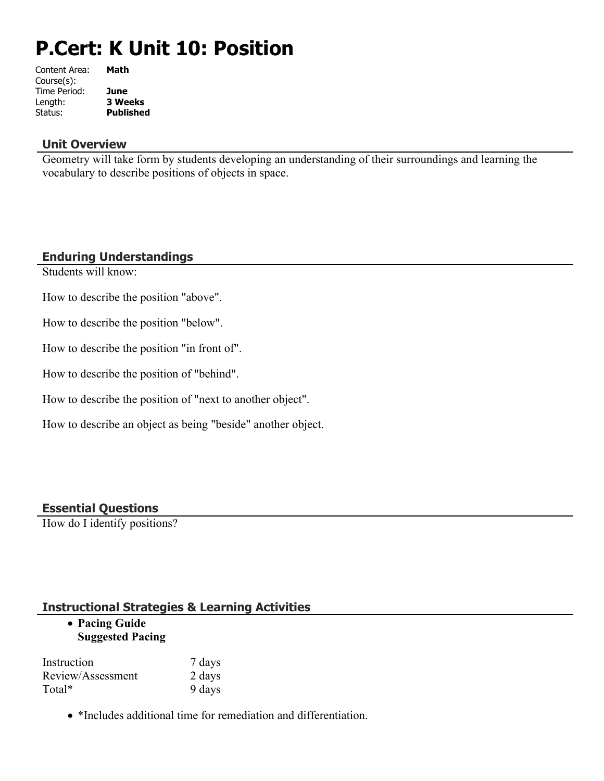# **P.Cert: K Unit 10: Position**

| Content Area: | Math             |
|---------------|------------------|
| Course(s):    |                  |
| Time Period:  | June             |
| Length:       | <b>3 Weeks</b>   |
| Status:       | <b>Published</b> |
|               |                  |

### **Unit Overview**

Geometry will take form by students developing an understanding of their surroundings and learning the vocabulary to describe positions of objects in space.

# **Enduring Understandings**

Students will know:

How to describe the position "above".

How to describe the position "below".

How to describe the position "in front of".

How to describe the position of "behind".

How to describe the position of "next to another object".

How to describe an object as being "beside" another object.

#### **Essential Questions**

How do I identify positions?

# **Instructional Strategies & Learning Activities**

#### **Pacing Guide Suggested Pacing**

| Instruction       | 7 days |
|-------------------|--------|
| Review/Assessment | 2 days |
| Total*            | 9 days |

• \*Includes additional time for remediation and differentiation.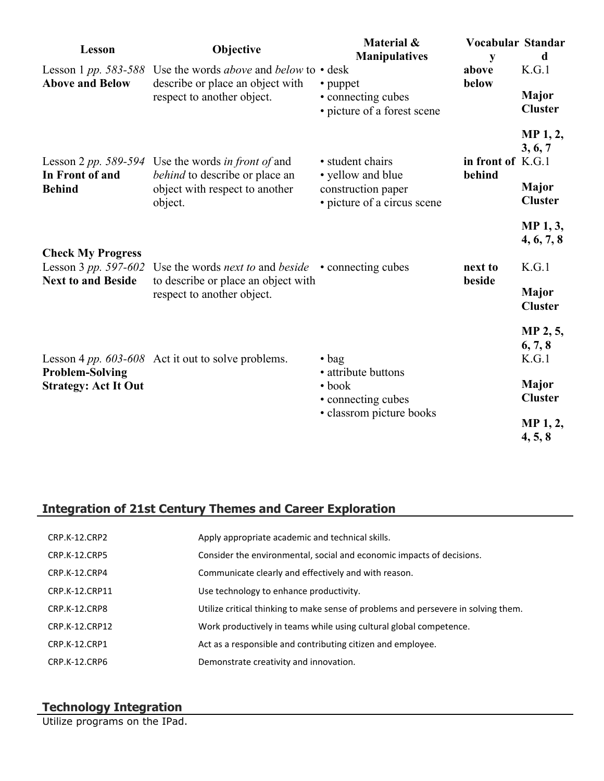| Lesson                                                                        | Objective                                                                                                                                          | Material &<br><b>Manipulatives</b>                                                                       | Vocabular Standar<br>y      | d                                                                                     |
|-------------------------------------------------------------------------------|----------------------------------------------------------------------------------------------------------------------------------------------------|----------------------------------------------------------------------------------------------------------|-----------------------------|---------------------------------------------------------------------------------------|
| <b>Above and Below</b>                                                        | Lesson 1 pp. 583-588 Use the words <i>above</i> and <i>below</i> to $\cdot$ desk<br>describe or place an object with<br>respect to another object. | • puppet<br>• connecting cubes<br>• picture of a forest scene                                            | above<br>below              | K.G.1<br>Major<br><b>Cluster</b>                                                      |
| In Front of and<br><b>Behind</b>                                              | Lesson 2 pp. 589-594 Use the words in front of and<br>behind to describe or place an<br>object with respect to another<br>object.                  | • student chairs<br>• yellow and blue<br>construction paper<br>· picture of a circus scene               | in front of K.G.1<br>behind | MP 1, 2,<br>3, 6, 7<br><b>Major</b><br><b>Cluster</b>                                 |
| <b>Check My Progress</b><br>Lesson 3 pp. 597-602<br><b>Next to and Beside</b> | Use the words <i>next to</i> and <i>beside</i> $\cdot$ connecting cubes<br>to describe or place an object with<br>respect to another object.       |                                                                                                          | next to<br>beside           | <b>MP</b> 1, 3,<br>4, 6, 7, 8<br>K.G.1<br>Major<br><b>Cluster</b>                     |
| <b>Problem-Solving</b><br><b>Strategy: Act It Out</b>                         | Lesson 4 pp. 603-608 Act it out to solve problems.                                                                                                 | $\bullet$ bag<br>• attribute buttons<br>$\bullet$ book<br>• connecting cubes<br>• classrom picture books |                             | MP 2, 5,<br>6, 7, 8<br>K.G.1<br><b>Major</b><br><b>Cluster</b><br>MP 1, 2,<br>4, 5, 8 |

# **Integration of 21st Century Themes and Career Exploration**

| CRP.K-12.CRP2        | Apply appropriate academic and technical skills.                                   |
|----------------------|------------------------------------------------------------------------------------|
| <b>CRP.K-12.CRP5</b> | Consider the environmental, social and economic impacts of decisions.              |
| CRP.K-12.CRP4        | Communicate clearly and effectively and with reason.                               |
| CRP.K-12.CRP11       | Use technology to enhance productivity.                                            |
| CRP.K-12.CRP8        | Utilize critical thinking to make sense of problems and persevere in solving them. |
| CRP.K-12.CRP12       | Work productively in teams while using cultural global competence.                 |
| CRP.K-12.CRP1        | Act as a responsible and contributing citizen and employee.                        |
| CRP.K-12.CRP6        | Demonstrate creativity and innovation.                                             |

# **Technology Integration**

Utilize programs on the IPad.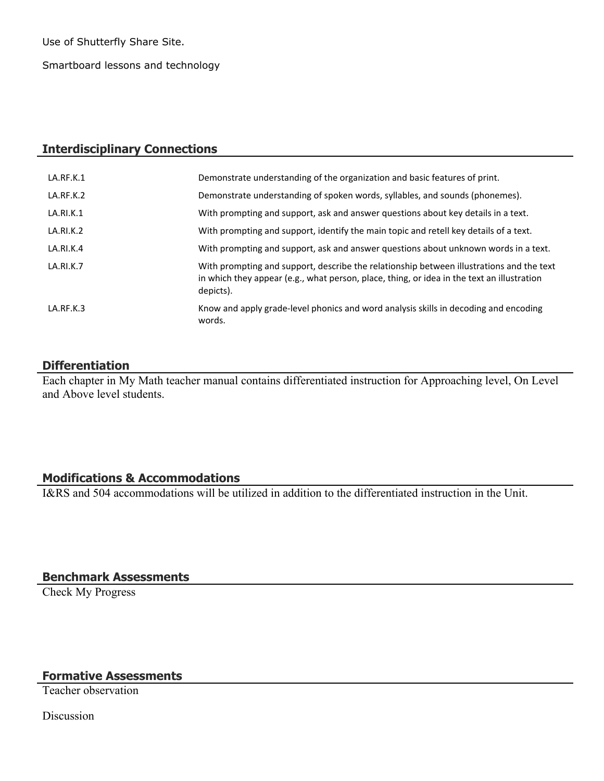Use of Shutterfly Share Site.

Smartboard lessons and technology

## **Interdisciplinary Connections**

| LA.RF.K.1 | Demonstrate understanding of the organization and basic features of print.                                                                                                                          |
|-----------|-----------------------------------------------------------------------------------------------------------------------------------------------------------------------------------------------------|
| LA.RF.K.2 | Demonstrate understanding of spoken words, syllables, and sounds (phonemes).                                                                                                                        |
| LA.RI.K.1 | With prompting and support, ask and answer questions about key details in a text.                                                                                                                   |
| LA.RI.K.2 | With prompting and support, identify the main topic and retell key details of a text.                                                                                                               |
| LA.RI.K.4 | With prompting and support, ask and answer questions about unknown words in a text.                                                                                                                 |
| LA.RI.K.7 | With prompting and support, describe the relationship between illustrations and the text<br>in which they appear (e.g., what person, place, thing, or idea in the text an illustration<br>depicts). |
| LA.RF.K.3 | Know and apply grade-level phonics and word analysis skills in decoding and encoding<br>words.                                                                                                      |

#### **Differentiation**

Each chapter in My Math teacher manual contains differentiated instruction for Approaching level, On Level and Above level students.

#### **Modifications & Accommodations**

I&RS and 504 accommodations will be utilized in addition to the differentiated instruction in the Unit.

**Benchmark Assessments**

Check My Progress

**Formative Assessments**

Teacher observation

**Discussion**